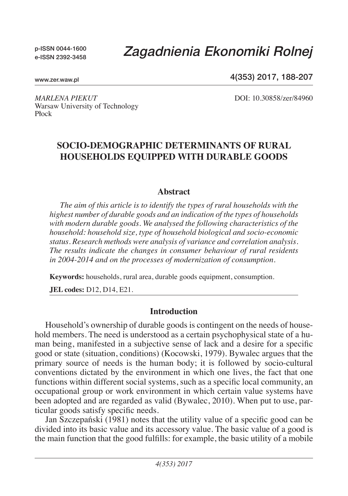p-ISSN 0044-1600 e-ISSN 2392-3458

# *Zagadnienia Ekonomiki Rolnej*

www.zer.waw.pl

4(353) 2017, 188-207

*Marlena Piekut* DOI: 10.30858/zer/84960 Warsaw University of Technology Płock

## **Socio-demographic determinants of rural households equipped with durable goods**

#### **Abstract**

*The aim of this article is to identify the types of rural households with the highest number of durable goods and an indication of the types of households with modern durable goods. We analysed the following characteristics of the household: household size, type of household biological and socio-economic status. Research methods were analysis of variance and correlation analysis. The results indicate the changes in consumer behaviour of rural residents in 2004-2014 and on the processes of modernization of consumption.*

**Keywords:** households, rural area, durable goods equipment, consumption.

**JEL codes:** D12, D14, E21.

#### **Introduction**

Household's ownership of durable goods is contingent on the needs of household members. The need is understood as a certain psychophysical state of a human being, manifested in a subjective sense of lack and a desire for a specific good or state (situation, conditions) (Kocowski, 1979). Bywalec argues that the primary source of needs is the human body; it is followed by socio-cultural conventions dictated by the environment in which one lives, the fact that one functions within different social systems, such as a specific local community, an occupational group or work environment in which certain value systems have been adopted and are regarded as valid (Bywalec, 2010). When put to use, particular goods satisfy specific needs.

Jan Szczepański (1981) notes that the utility value of a specific good can be divided into its basic value and its accessory value. The basic value of a good is the main function that the good fulfills: for example, the basic utility of a mobile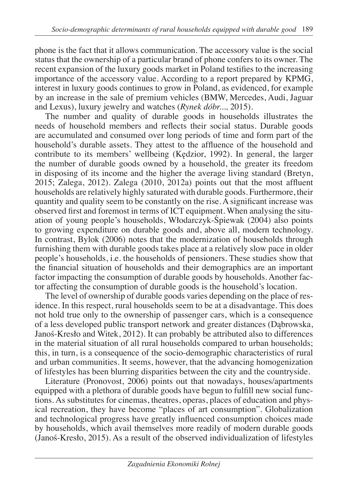phone is the fact that it allows communication. The accessory value is the social status that the ownership of a particular brand of phone confers to its owner. The recent expansion of the luxury goods market in Poland testifies to the increasing importance of the accessory value. According to a report prepared by KPMG, interest in luxury goods continues to grow in Poland, as evidenced, for example by an increase in the sale of premium vehicles (BMW, Mercedes, Audi, Jaguar and Lexus), luxury jewelry and watches (*Rynek dóbr...,* 2015).

The number and quality of durable goods in households illustrates the needs of household members and reflects their social status. Durable goods are accumulated and consumed over long periods of time and form part of the household's durable assets. They attest to the affluence of the household and contribute to its members' wellbeing (Kędzior, 1992). In general, the larger the number of durable goods owned by a household, the greater its freedom in disposing of its income and the higher the average living standard (Bretyn, 2015; Zalega, 2012). Zalega (2010, 2012a) points out that the most affluent households are relatively highly saturated with durable goods. Furthermore, their quantity and quality seem to be constantly on the rise. A significant increase was observed first and foremost in terms of ICT equipment. When analysing the situation of young people's households, Włodarczyk-Śpiewak (2004) also points to growing expenditure on durable goods and, above all, modern technology. In contrast, Bylok (2006) notes that the modernization of households through furnishing them with durable goods takes place at a relatively slow pace in older people's households, i.e. the households of pensioners. These studies show that the financial situation of households and their demographics are an important factor impacting the consumption of durable goods by households. Another factor affecting the consumption of durable goods is the household's location.

The level of ownership of durable goods varies depending on the place of residence. In this respect, rural households seem to be at a disadvantage. This does not hold true only to the ownership of passenger cars, which is a consequence of a less developed public transport network and greater distances (Dąbrowska, Janoś-Kresło and Witek, 2012). It can probably be attributed also to differences in the material situation of all rural households compared to urban households; this, in turn, is a consequence of the socio-demographic characteristics of rural and urban communities. It seems, however, that the advancing homogenization of lifestyles has been blurring disparities between the city and the countryside.

Literature (Pronovost, 2006) points out that nowadays, houses/apartments equipped with a plethora of durable goods have begun to fulfill new social functions. As substitutes for cinemas, theatres, operas, places of education and physical recreation, they have become "places of art consumption". Globalization and technological progress have greatly influenced consumption choices made by households, which avail themselves more readily of modern durable goods (Janoś-Kresło, 2015). As a result of the observed individualization of lifestyles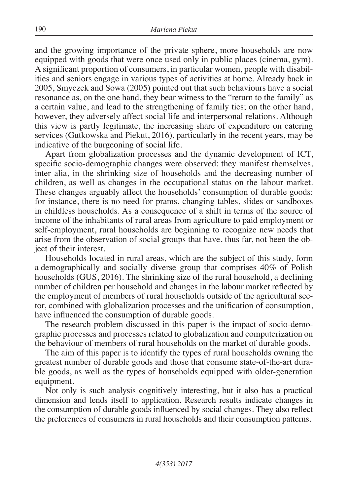and the growing importance of the private sphere, more households are now equipped with goods that were once used only in public places (cinema, gym). A significant proportion of consumers, in particular women, people with disabilities and seniors engage in various types of activities at home. Already back in 2005, Smyczek and Sowa (2005) pointed out that such behaviours have a social resonance as, on the one hand, they bear witness to the "return to the family" as a certain value, and lead to the strengthening of family ties; on the other hand, however, they adversely affect social life and interpersonal relations. Although this view is partly legitimate, the increasing share of expenditure on catering services (Gutkowska and Piekut, 2016), particularly in the recent years, may be indicative of the burgeoning of social life.

Apart from globalization processes and the dynamic development of ICT, specific socio-demographic changes were observed: they manifest themselves, inter alia, in the shrinking size of households and the decreasing number of children, as well as changes in the occupational status on the labour market. These changes arguably affect the households' consumption of durable goods: for instance, there is no need for prams, changing tables, slides or sandboxes in childless households. As a consequence of a shift in terms of the source of income of the inhabitants of rural areas from agriculture to paid employment or self-employment, rural households are beginning to recognize new needs that arise from the observation of social groups that have, thus far, not been the object of their interest.

Households located in rural areas, which are the subject of this study, form a demographically and socially diverse group that comprises 40% of Polish households (GUS, 2016). The shrinking size of the rural household, a declining number of children per household and changes in the labour market reflected by the employment of members of rural households outside of the agricultural sector, combined with globalization processes and the unification of consumption, have influenced the consumption of durable goods.

The research problem discussed in this paper is the impact of socio-demographic processes and processes related to globalization and computerization on the behaviour of members of rural households on the market of durable goods.

The aim of this paper is to identify the types of rural households owning the greatest number of durable goods and those that consume state-of-the-art durable goods, as well as the types of households equipped with older-generation equipment.

Not only is such analysis cognitively interesting, but it also has a practical dimension and lends itself to application. Research results indicate changes in the consumption of durable goods influenced by social changes. They also reflect the preferences of consumers in rural households and their consumption patterns.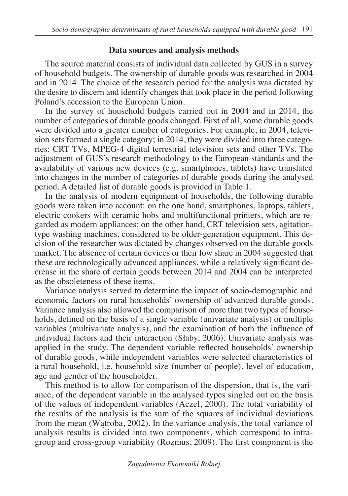## **Data sources and analysis methods**

The source material consists of individual data collected by GUS in a survey of household budgets. The ownership of durable goods was researched in 2004 and in 2014. The choice of the research period for the analysis was dictated by the desire to discern and identify changes that took place in the period following Poland's accession to the European Union.

In the survey of household budgets carried out in 2004 and in 2014, the number of categories of durable goods changed. First of all, some durable goods were divided into a greater number of categories. For example, in 2004, television sets formed a single category; in 2014, they were divided into three categories: CRT TVs, MPEG-4 digital terrestrial television sets and other TVs. The adjustment of GUS's research methodology to the European standards and the availability of various new devices (e.g. smartphones, tablets) have translated into changes in the number of categories of durable goods during the analysed period. A detailed list of durable goods is provided in Table 1.

In the analysis of modern equipment of households, the following durable goods were taken into account: on the one hand, smartphones, laptops, tablets, electric cookers with ceramic hobs and multifunctional printers, which are regarded as modern appliances; on the other hand, CRT television sets, agitationtype washing machines, considered to be older-generation equipment. This decision of the researcher was dictated by changes observed on the durable goods market. The absence of certain devices or their low share in 2004 suggested that these are technologically advanced appliances, while a relatively significant decrease in the share of certain goods between 2014 and 2004 can be interpreted as the obsoleteness of these items.

Variance analysis served to determine the impact of socio-demographic and economic factors on rural households' ownership of advanced durable goods. Variance analysis also allowed the comparison of more than two types of households, defined on the basis of a single variable (univariate analysis) or multiple variables (multivariate analysis), and the examination of both the influence of individual factors and their interaction (Słaby, 2006). Univariate analysis was applied in the study. The dependent variable reflected households' ownership of durable goods, while independent variables were selected characteristics of a rural household, i.e. household size (number of people), level of education, age and gender of the householder.

This method is to allow for comparison of the dispersion, that is, the variance, of the dependent variable in the analysed types singled out on the basis of the values of independent variables (Aczel, 2000). The total variability of the results of the analysis is the sum of the squares of individual deviations from the mean (Wątroba, 2002). In the variance analysis, the total variance of analysis results is divided into two components, which correspond to intragroup and cross-group variability (Rozmus, 2009). The first component is the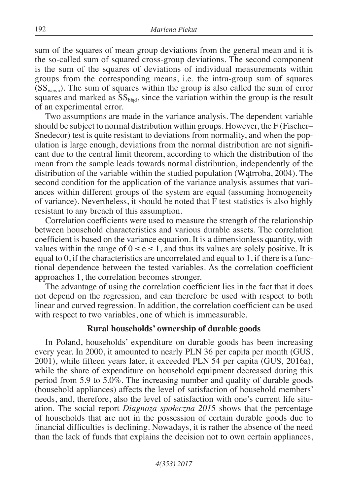sum of the squares of mean group deviations from the general mean and it is the so-called sum of squared cross-group deviations. The second component is the sum of the squares of deviations of individual measurements within groups from the corresponding means, i.e. the intra-group sum of squares  $(SS<sub>wewn</sub>)$ . The sum of squares within the group is also called the sum of error squares and marked as  $SS<sub>bfad</sub>$ , since the variation within the group is the result of an experimental error.

Two assumptions are made in the variance analysis. The dependent variable should be subject to normal distribution within groups. However, the F (Fischer– Snedecor) test is quite resistant to deviations from normality, and when the population is large enough, deviations from the normal distribution are not significant due to the central limit theorem, according to which the distribution of the mean from the sample leads towards normal distribution, independently of the distribution of the variable within the studied population (Wątrroba, 2004). The second condition for the application of the variance analysis assumes that variances within different groups of the system are equal (assuming homogeneity of variance). Nevertheless, it should be noted that F test statistics is also highly resistant to any breach of this assumption.

Correlation coefficients were used to measure the strength of the relationship between household characteristics and various durable assets. The correlation coefficient is based on the variance equation. It is a dimensionless quantity, with values within the range of  $0 \le e \le 1$ , and thus its values are solely positive. It is equal to  $0$ , if the characteristics are uncorrelated and equal to 1, if there is a functional dependence between the tested variables. As the correlation coefficient approaches 1, the correlation becomes stronger.

The advantage of using the correlation coefficient lies in the fact that it does not depend on the regression, and can therefore be used with respect to both linear and curved regression. In addition, the correlation coefficient can be used with respect to two variables, one of which is immeasurable.

## **Rural households' ownership of durable goods**

In Poland, households' expenditure on durable goods has been increasing every year. In 2000, it amounted to nearly PLN 36 per capita per month (GUS, 2001), while fifteen years later, it exceeded PLN 54 per capita (Gus*,* 2016a), while the share of expenditure on household equipment decreased during this period from 5.9 to 5.0%. The increasing number and quality of durable goods (household appliances) affects the level of satisfaction of household members' needs, and, therefore, also the level of satisfaction with one's current life situation. The social report *Diagnoza społeczna 201*5 shows that the percentage of households that are not in the possession of certain durable goods due to financial difficulties is declining. Nowadays, it is rather the absence of the need than the lack of funds that explains the decision not to own certain appliances,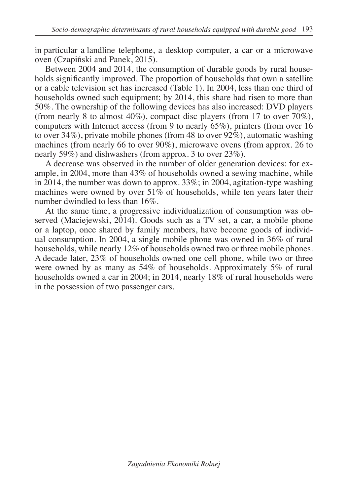in particular a landline telephone, a desktop computer, a car or a microwave oven (Czapiński and Panek, 2015).

Between 2004 and 2014, the consumption of durable goods by rural households significantly improved. The proportion of households that own a satellite or a cable television set has increased (Table 1). In 2004, less than one third of households owned such equipment; by 2014, this share had risen to more than 50%. The ownership of the following devices has also increased: DVD players (from nearly 8 to almost 40%), compact disc players (from 17 to over  $70\%$ ), computers with Internet access (from 9 to nearly 65%), printers (from over 16 to over 34%), private mobile phones (from 48 to over  $92\%$ ), automatic washing machines (from nearly 66 to over 90%), microwave ovens (from approx. 26 to nearly 59%) and dishwashers (from approx. 3 to over 23%).

A decrease was observed in the number of older generation devices: for example, in 2004, more than 43% of households owned a sewing machine, while in 2014, the number was down to approx.  $33\%$ ; in 2004, agitation-type washing machines were owned by over  $51\%$  of households, while ten years later their number dwindled to less than 16%.

At the same time, a progressive individualization of consumption was observed (Maciejewski, 2014). Goods such as a TV set, a car, a mobile phone or a laptop, once shared by family members, have become goods of individual consumption. In 2004, a single mobile phone was owned in 36% of rural households, while nearly 12% of households owned two or three mobile phones. A decade later, 23% of households owned one cell phone, while two or three were owned by as many as 54% of households. Approximately 5% of rural households owned a car in 2004; in 2014, nearly 18% of rural households were in the possession of two passenger cars.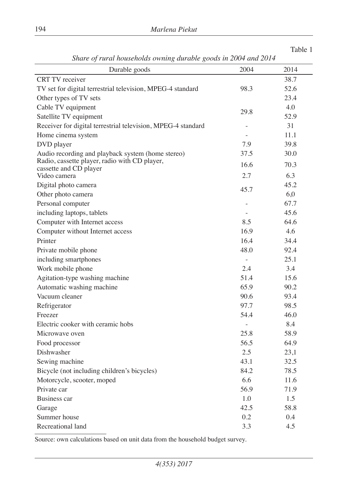| Share of rural nousenolas owning aurable goods in 2004 and 2014 |                |      |
|-----------------------------------------------------------------|----------------|------|
| Durable goods                                                   | 2004           | 2014 |
| <b>CRT TV</b> receiver                                          |                | 38.7 |
| TV set for digital terrestrial television, MPEG-4 standard      | 98.3           | 52.6 |
| Other types of TV sets                                          |                | 23.4 |
| Cable TV equipment                                              | 29.8           | 4.0  |
| Satellite TV equipment                                          |                | 52.9 |
| Receiver for digital terrestrial television, MPEG-4 standard    |                | 31   |
| Home cinema system                                              |                | 11.1 |
| DVD player                                                      | 7.9            | 39.8 |
| Audio recording and playback system (home stereo)               | 37.5           | 30.0 |
| Radio, cassette player, radio with CD player,                   | 16.6           | 70.3 |
| cassette and CD player<br>Video camera                          | 2.7            | 6.3  |
| Digital photo camera                                            |                | 45.2 |
| Other photo camera                                              | 45.7           | 6.0  |
| Personal computer                                               |                | 67.7 |
| including laptops, tablets                                      |                | 45.6 |
| Computer with Internet access                                   | 8.5            | 64.6 |
| Computer without Internet access                                | 16.9           | 4.6  |
| Printer                                                         | 16.4           | 34.4 |
| Private mobile phone                                            | 48.0           | 92.4 |
| including smartphones                                           | $\overline{a}$ | 25.1 |
| Work mobile phone                                               | 2.4            | 3.4  |
| Agitation-type washing machine                                  | 51.4           | 15.6 |
| Automatic washing machine                                       | 65.9           | 90.2 |
| Vacuum cleaner                                                  | 90.6           | 93.4 |
| Refrigerator                                                    | 97.7           | 98.5 |
| Freezer                                                         | 54.4           | 46.0 |
| Electric cooker with ceramic hobs                               |                | 8.4  |
| Microwave oven                                                  | 25.8           | 58.9 |
| Food processor                                                  | 56.5           | 64.9 |
| Dishwasher                                                      | 2.5            | 23,1 |
| Sewing machine                                                  | 43.1           | 32.5 |
| Bicycle (not including children's bicycles)                     | 84.2           | 78.5 |
| Motorcycle, scooter, moped                                      | 6.6            | 11.6 |
| Private car                                                     | 56.9           | 71.9 |
| Business car                                                    | 1.0            | 1.5  |
| Garage                                                          | 42.5           | 58.8 |
| Summer house                                                    | 0.2            | 0.4  |
| Recreational land                                               | 3.3            | 4.5  |
|                                                                 |                |      |

*Share of rural households owning durable goods in 2004 and 2014*

Table 1

Source: own calculations based on unit data from the household budget survey.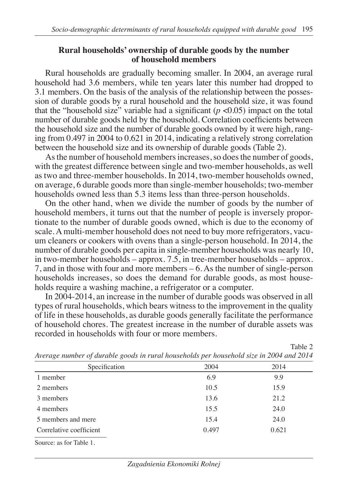#### **Rural households' ownership of durable goods by the number of household members**

Rural households are gradually becoming smaller. In 2004, an average rural household had 3.6 members, while ten years later this number had dropped to 3.1 members. On the basis of the analysis of the relationship between the possession of durable goods by a rural household and the household size, it was found that the "household size" variable had a significant  $(p \lt 0.05)$  impact on the total number of durable goods held by the household. Correlation coefficients between the household size and the number of durable goods owned by it were high, ranging from 0.497 in 2004 to 0.621 in 2014, indicating a relatively strong correlation between the household size and its ownership of durable goods (Table 2).

As the number of household members increases, so does the number of goods, with the greatest difference between single and two-member households, as well as two and three-member households. In 2014, two-member households owned, on average, 6 durable goods more than single-member households; two-member households owned less than 5.3 items less than three-person households.

On the other hand, when we divide the number of goods by the number of household members, it turns out that the number of people is inversely proportionate to the number of durable goods owned, which is due to the economy of scale. A multi-member household does not need to buy more refrigerators, vacuum cleaners or cookers with ovens than a single-person household. In 2014, the number of durable goods per capita in single-member households was nearly 10, in two-member households – approx. 7.5, in tree-member households – approx. 7, and in those with four and more members – 6. As the number of single-person households increases, so does the demand for durable goods, as most households require a washing machine, a refrigerator or a computer.

In 2004-2014, an increase in the number of durable goods was observed in all types of rural households, which bears witness to the improvement in the quality of life in these households, as durable goods generally facilitate the performance of household chores. The greatest increase in the number of durable assets was recorded in households with four or more members.

| Average number of aurable goods in rural househous per nousehoud size in 2004 and 2014 |       |       |  |  |  |
|----------------------------------------------------------------------------------------|-------|-------|--|--|--|
| Specification                                                                          | 2004  | 2014  |  |  |  |
| 1 member                                                                               | 6.9   | 9.9   |  |  |  |
| 2 members                                                                              | 10.5  | 15.9  |  |  |  |
| 3 members                                                                              | 13.6  | 21.2  |  |  |  |
| 4 members                                                                              | 15.5  | 24.0  |  |  |  |
| 5 members and mere                                                                     | 15.4  | 24.0  |  |  |  |
| Correlative coefficient                                                                | 0.497 | 0.621 |  |  |  |
| Source: as for Table 1.                                                                |       |       |  |  |  |

*Average number of durable goods in rural households per household size in 2004 and 2014*

Table 2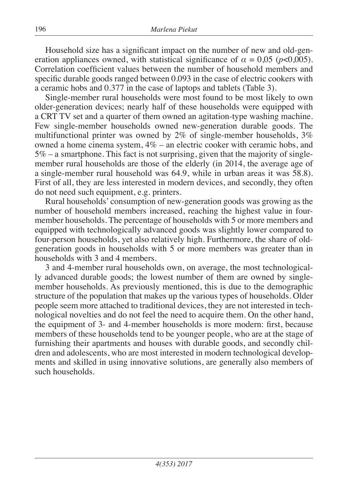Household size has a significant impact on the number of new and old-generation appliances owned, with statistical significance of  $\alpha = 0.05$  ( $p < 0.005$ ). Correlation coefficient values between the number of household members and specific durable goods ranged between 0.093 in the case of electric cookers with a ceramic hobs and 0.377 in the case of laptops and tablets (Table 3).

Single-member rural households were most found to be most likely to own older-generation devices; nearly half of these households were equipped with a CRT TV set and a quarter of them owned an agitation-type washing machine. Few single-member households owned new-generation durable goods. The multifunctional printer was owned by 2% of single-member households, 3% owned a home cinema system, 4% – an electric cooker with ceramic hobs, and  $5\%$  – a smartphone. This fact is not surprising, given that the majority of singlemember rural households are those of the elderly (in 2014, the average age of a single-member rural household was 64.9, while in urban areas it was 58.8). First of all, they are less interested in modern devices, and secondly, they often do not need such equipment, e.g. printers.

Rural households' consumption of new-generation goods was growing as the number of household members increased, reaching the highest value in fourmember households. The percentage of households with 5 or more members and equipped with technologically advanced goods was slightly lower compared to four-person households, yet also relatively high. Furthermore, the share of oldgeneration goods in households with 5 or more members was greater than in households with 3 and 4 members.

3 and 4-member rural households own, on average, the most technologically advanced durable goods; the lowest number of them are owned by singlemember households. As previously mentioned, this is due to the demographic structure of the population that makes up the various types of households. Older people seem more attached to traditional devices, they are not interested in technological novelties and do not feel the need to acquire them. On the other hand, the equipment of 3- and 4-member households is more modern: first, because members of these households tend to be younger people, who are at the stage of furnishing their apartments and houses with durable goods, and secondly children and adolescents, who are most interested in modern technological developments and skilled in using innovative solutions, are generally also members of such households.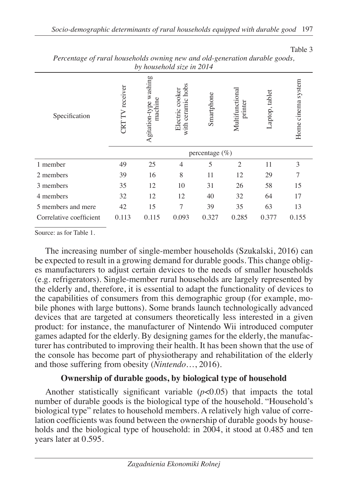Table 3

| <i>Dy nousenoud size in 2014</i> |                 |                                         |                                         |                   |                            |                |                    |
|----------------------------------|-----------------|-----------------------------------------|-----------------------------------------|-------------------|----------------------------|----------------|--------------------|
| Specification                    | CRT TV receiver | washing<br>machine<br>g<br>Agitation-ty | ceramic hobs<br>Electric cooker<br>with | Smartphone        | Multifunctional<br>printer | -aptop, tablet | Home cinema system |
|                                  |                 |                                         |                                         | percentage $(\%)$ |                            |                |                    |
| 1 member                         | 49              | 25                                      | $\overline{4}$                          | 5                 | $\overline{c}$             | 11             | 3                  |
| 2 members                        | 39              | 16                                      | 8                                       | 11                | 12                         | 29             | 7                  |
| 3 members                        | 35              | 12                                      | 10                                      | 31                | 26                         | 58             | 15                 |
| 4 members                        | 32              | 12                                      | 12                                      | 40                | 32                         | 64             | 17                 |
| 5 members and mere               | 42              | 15                                      | 7                                       | 39                | 35                         | 63             | 13                 |
| Correlative coefficient          | 0.113           | 0.115                                   | 0.093                                   | 0.327             | 0.285                      | 0.377          | 0.155              |
|                                  |                 |                                         |                                         |                   |                            |                |                    |

*Percentage of rural households owning new and old-generation durable goods, by household size in 2014*

Source: as for Table 1.

The increasing number of single-member households (Szukalski, 2016) can be expected to result in a growing demand for durable goods. This change obliges manufacturers to adjust certain devices to the needs of smaller households (e.g. refrigerators). Single-member rural households are largely represented by the elderly and, therefore, it is essential to adapt the functionality of devices to the capabilities of consumers from this demographic group (for example, mobile phones with large buttons). Some brands launch technologically advanced devices that are targeted at consumers theoretically less interested in a given product: for instance, the manufacturer of Nintendo Wii introduced computer games adapted for the elderly. By designing games for the elderly, the manufacturer has contributed to improving their health. It has been shown that the use of the console has become part of physiotherapy and rehabilitation of the elderly and those suffering from obesity (*Nintendo*…, 2016).

## **Ownership of durable goods, by biological type of household**

Another statistically significant variable (*p*<0.05) that impacts the total number of durable goods is the biological type of the household. "Household's biological type" relates to household members. A relatively high value of correlation coefficients was found between the ownership of durable goods by households and the biological type of household: in 2004, it stood at 0.485 and ten years later at 0.595.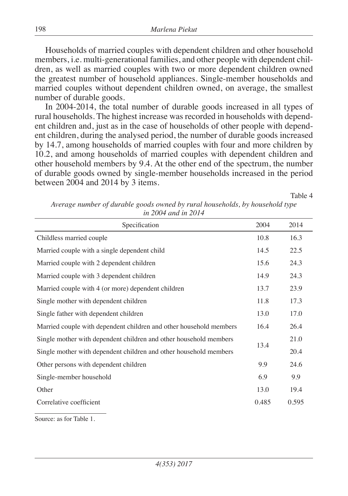Households of married couples with dependent children and other household members, i.e. multi-generational families, and other people with dependent children, as well as married couples with two or more dependent children owned the greatest number of household appliances. Single-member households and married couples without dependent children owned, on average, the smallest number of durable goods.

In 2004-2014, the total number of durable goods increased in all types of rural households. The highest increase was recorded in households with dependent children and, just as in the case of households of other people with dependent children, during the analysed period, the number of durable goods increased by 14.7, among households of married couples with four and more children by 10.2, and among households of married couples with dependent children and other household members by 9.4. At the other end of the spectrum, the number of durable goods owned by single-member households increased in the period between 2004 and 2014 by 3 items.

Table 4

| Average number of durable goods owned by rural households, by household type |                     |  |  |
|------------------------------------------------------------------------------|---------------------|--|--|
|                                                                              | in 2004 and in 2014 |  |  |

| Specification                                                      | 2004  | 2014  |
|--------------------------------------------------------------------|-------|-------|
| Childless married couple                                           | 10.8  | 16.3  |
| Married couple with a single dependent child                       | 14.5  | 22.5  |
| Married couple with 2 dependent children                           | 15.6  | 24.3  |
| Married couple with 3 dependent children                           | 14.9  | 24.3  |
| Married couple with 4 (or more) dependent children                 | 13.7  | 23.9  |
| Single mother with dependent children                              | 11.8  | 17.3  |
| Single father with dependent children                              | 13.0  | 17.0  |
| Married couple with dependent children and other household members | 16.4  | 26.4  |
| Single mother with dependent children and other household members  |       | 21.0  |
| Single mother with dependent children and other household members  |       | 20.4  |
| Other persons with dependent children                              | 9.9   | 24.6  |
| Single-member household                                            | 6.9   | 9.9   |
| Other                                                              | 13.0  | 19.4  |
| Correlative coefficient                                            | 0.485 | 0.595 |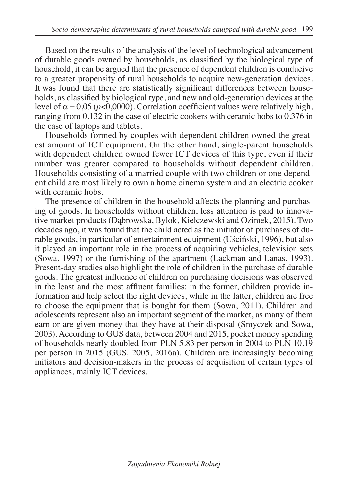Based on the results of the analysis of the level of technological advancement of durable goods owned by households, as classified by the biological type of household, it can be argued that the presence of dependent children is conducive to a greater propensity of rural households to acquire new-generation devices. It was found that there are statistically significant differences between households, as classified by biological type, and new and old-generation devices at the level of  $\alpha = 0.05$  ( $p < 0.0000$ ). Correlation coefficient values were relatively high, ranging from 0.132 in the case of electric cookers with ceramic hobs to 0.376 in the case of laptops and tablets.

Households formed by couples with dependent children owned the greatest amount of ICT equipment. On the other hand, single-parent households with dependent children owned fewer ICT devices of this type, even if their number was greater compared to households without dependent children. Households consisting of a married couple with two children or one dependent child are most likely to own a home cinema system and an electric cooker with ceramic hobs.

The presence of children in the household affects the planning and purchasing of goods. In households without children, less attention is paid to innovative market products (Dąbrowska, Bylok, Kiełczewski and Ozimek, 2015). Two decades ago, it was found that the child acted as the initiator of purchases of durable goods, in particular of entertainment equipment (Uściński, 1996), but also it played an important role in the process of acquiring vehicles, television sets (Sowa, 1997) or the furnishing of the apartment (Lackman and Lanas, 1993). Present-day studies also highlight the role of children in the purchase of durable goods. The greatest influence of children on purchasing decisions was observed in the least and the most affluent families: in the former, children provide information and help select the right devices, while in the latter, children are free to choose the equipment that is bought for them (Sowa, 2011). Children and adolescents represent also an important segment of the market, as many of them earn or are given money that they have at their disposal (Smyczek and Sowa, 2003). According to GUS data, between 2004 and 2015, pocket money spending of households nearly doubled from PLN 5.83 per person in 2004 to PLN 10.19 per person in 2015 (GUS*,* 2005, 2016a). Children are increasingly becoming initiators and decision-makers in the process of acquisition of certain types of appliances, mainly ICT devices.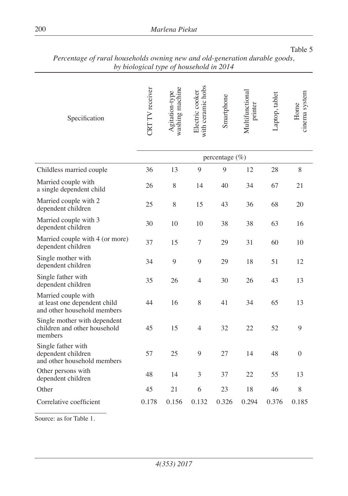| by biological type of household in 2014                                            |                        |                                   |                                      |                   |                            |                |                       |
|------------------------------------------------------------------------------------|------------------------|-----------------------------------|--------------------------------------|-------------------|----------------------------|----------------|-----------------------|
| Specification                                                                      | <b>CRT</b> TV receiver | washing machine<br>Agitation-type | with ceramic hobs<br>Electric cooker | Smartphone        | Multifunctional<br>printer | Laptop, tablet | cinema system<br>Home |
|                                                                                    |                        |                                   |                                      | percentage $(\%)$ |                            |                |                       |
| Childless married couple                                                           | 36                     | 13                                | 9                                    | 9                 | 12                         | 28             | 8                     |
| Married couple with<br>a single dependent child                                    | 26                     | 8                                 | 14                                   | 40                | 34                         | 67             | 21                    |
| Married couple with 2<br>dependent children                                        | 25                     | 8                                 | 15                                   | 43                | 36                         | 68             | 20                    |
| Married couple with 3<br>dependent children                                        | 30                     | 10                                | 10                                   | 38                | 38                         | 63             | 16                    |
| Married couple with 4 (or more)<br>dependent children                              | 37                     | 15                                | 7                                    | 29                | 31                         | 60             | 10                    |
| Single mother with<br>dependent children                                           | 34                     | 9                                 | 9                                    | 29                | 18                         | 51             | 12                    |
| Single father with<br>dependent children                                           | 35                     | 26                                | 4                                    | 30                | 26                         | 43             | 13                    |
| Married couple with<br>at least one dependent child<br>and other household members | 44                     | 16                                | 8                                    | 41                | 34                         | 65             | 13                    |
| Single mother with dependent<br>children and other household<br>members            | 45                     | 15                                | 4                                    | 32                | 22                         | 52             | 9                     |
| Single father with<br>dependent children<br>and other household members            | 57                     | 25                                | 9                                    | 27                | 14                         | 48             | $\mathbf{0}$          |
| Other persons with<br>dependent children                                           | 48                     | 14                                | 3                                    | 37                | 22                         | 55             | 13                    |
| Other                                                                              | 45                     | 21                                | 6                                    | 23                | 18                         | 46             | 8                     |
| Correlative coefficient                                                            | 0.178                  | 0.156                             | 0.132                                | 0.326             | 0.294                      | 0.376          | 0.185                 |

| Table 5                                                                     |  |
|-----------------------------------------------------------------------------|--|
| Percentage of rural households owning new and old-generation durable goods, |  |
| by biological type of household in 2014                                     |  |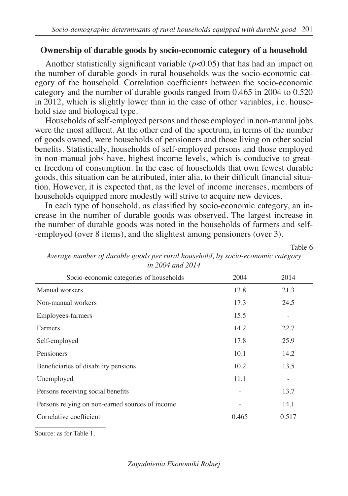### **Ownership of durable goods by socio-economic category of a household**

Another statistically significant variable (*p*<0.05) that has had an impact on the number of durable goods in rural households was the socio-economic category of the household. Correlation coefficients between the socio-economic category and the number of durable goods ranged from 0.465 in 2004 to 0.520 in 2012, which is slightly lower than in the case of other variables, i.e. household size and biological type.

Households of self-employed persons and those employed in non-manual jobs were the most affluent. At the other end of the spectrum, in terms of the number of goods owned, were households of pensioners and those living on other social benefits. Statistically, households of self-employed persons and those employed in non-manual jobs have, highest income levels, which is conducive to greater freedom of consumption. In the case of households that own fewest durable goods, this situation can be attributed, inter alia, to their difficult financial situation. However, it is expected that, as the level of income increases, members of households equipped more modestly will strive to acquire new devices.

In each type of household, as classified by socio-economic category, an increase in the number of durable goods was observed. The largest increase in the number of durable goods was noted in the households of farmers and self- -employed (over 8 items), and the slightest among pensioners (over 3).

Table 6

| <i>ni 200 i ana 201</i> i                       |       |       |
|-------------------------------------------------|-------|-------|
| Socio-economic categories of households         | 2004  | 2014  |
| Manual workers                                  | 13.8  | 21.3  |
| Non-manual workers                              | 17.3  | 24.5  |
| Employees-farmers                               | 15.5  |       |
| Farmers                                         | 14.2  | 22.7  |
| Self-employed                                   | 17.8  | 25.9  |
| Pensioners                                      | 10.1  | 14.2  |
| Beneficiaries of disability pensions            | 10.2  | 13.5  |
| Unemployed                                      | 11.1  |       |
| Persons receiving social benefits               |       | 13.7  |
| Persons relying on non-earned sources of income |       | 14.1  |
| Correlative coefficient                         | 0.465 | 0.517 |
|                                                 |       |       |

*Average number of durable goods per rural household, by socio-economic category in 2004 and 2014*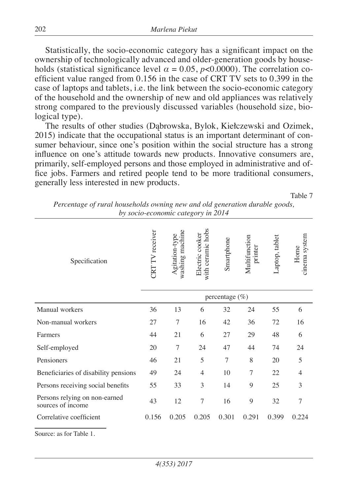Statistically, the socio-economic category has a significant impact on the ownership of technologically advanced and older-generation goods by households (statistical significance level  $\alpha = 0.05$ ,  $p < 0.0000$ ). The correlation coefficient value ranged from 0.156 in the case of CRT TV sets to 0.399 in the case of laptops and tablets, i.e. the link between the socio-economic category of the household and the ownership of new and old appliances was relatively strong compared to the previously discussed variables (household size, biological type).

The results of other studies (Dąbrowska, Bylok, Kiełczewski and Ozimek, 2015) indicate that the occupational status is an important determinant of consumer behaviour, since one's position within the social structure has a strong influence on one's attitude towards new products. Innovative consumers are, primarily, self-employed persons and those employed in administrative and office jobs. Farmers and retired people tend to be more traditional consumers, generally less interested in new products.

Table 7

| Specification                                      | <b>CRT</b> TV receiver | washing machine<br>Agitation-type | with ceramic hobs<br>Electric cooker | Smartphone     | Multifunction<br>printer | Laptop, tablet | cinema system<br>Home |
|----------------------------------------------------|------------------------|-----------------------------------|--------------------------------------|----------------|--------------------------|----------------|-----------------------|
|                                                    |                        |                                   |                                      | percentage (%) |                          |                |                       |
| Manual workers                                     | 36                     | 13                                | 6                                    | 32             | 24                       | 55             | 6                     |
| Non-manual workers                                 | 27                     | $\tau$                            | 16                                   | 42             | 36                       | 72             | 16                    |
| Farmers                                            | 44                     | 21                                | 6                                    | 27             | 29                       | 48             | 6                     |
| Self-employed                                      | 20                     | $\overline{7}$                    | 24                                   | 47             | 44                       | 74             | 24                    |
| Pensioners                                         | 46                     | 21                                | 5                                    | 7              | 8                        | 20             | 5                     |
| Beneficiaries of disability pensions               | 49                     | 24                                | $\overline{4}$                       | 10             | 7                        | 22             | $\overline{4}$        |
| Persons receiving social benefits                  | 55                     | 33                                | 3                                    | 14             | 9                        | 25             | 3                     |
| Persons relying on non-earned<br>sources of income | 43                     | 12                                | 7                                    | 16             | 9                        | 32             | $\overline{7}$        |
| Correlative coefficient                            | 0.156                  | 0.205                             | 0.205                                | 0.301          | 0.291                    | 0.399          | 0.224                 |
|                                                    |                        |                                   |                                      |                |                          |                |                       |

*Percentage of rural households owning new and old generation durable goods, by socio-economic category in 2014*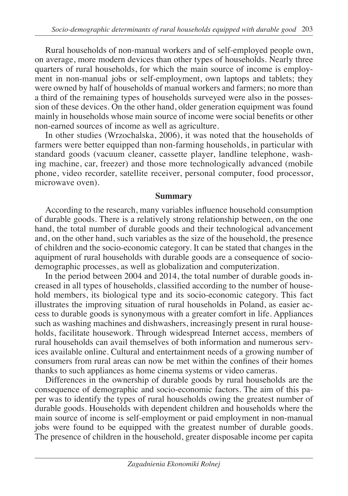Rural households of non-manual workers and of self-employed people own, on average, more modern devices than other types of households. Nearly three quarters of rural households, for which the main source of income is employment in non-manual jobs or self-employment, own laptops and tablets; they were owned by half of households of manual workers and farmers; no more than a third of the remaining types of households surveyed were also in the possession of these devices. On the other hand, older generation equipment was found mainly in households whose main source of income were social benefits or other non-earned sources of income as well as agriculture.

In other studies (Wrzochalska, 2006), it was noted that the households of farmers were better equipped than non-farming households, in particular with standard goods (vacuum cleaner, cassette player, landline telephone, washing machine, car, freezer) and those more technologically advanced (mobile phone, video recorder, satellite receiver, personal computer, food processor, microwave oven).

## **Summary**

According to the research, many variables influence household consumption of durable goods. There is a relatively strong relationship between, on the one hand, the total number of durable goods and their technological advancement and, on the other hand, such variables as the size of the household, the presence of children and the socio-economic category. It can be stated that changes in the aquipment of rural households with durable goods are a consequence of sociodemographic processes, as well as globalization and computerization.

In the period between 2004 and 2014, the total number of durable goods increased in all types of households, classified according to the number of household members, its biological type and its socio-economic category. This fact illustrates the improving situation of rural households in Poland, as easier access to durable goods is synonymous with a greater comfort in life. Appliances such as washing machines and dishwashers, increasingly present in rural households, facilitate housework. Through widespread Internet access, members of rural households can avail themselves of both information and numerous services available online. Cultural and entertainment needs of a growing number of consumers from rural areas can now be met within the confines of their homes thanks to such appliances as home cinema systems or video cameras.

Differences in the ownership of durable goods by rural households are the consequence of demographic and socio-economic factors. The aim of this paper was to identify the types of rural households owing the greatest number of durable goods. Households with dependent children and households where the main source of income is self-employment or paid employment in non-manual jobs were found to be equipped with the greatest number of durable goods. The presence of children in the household, greater disposable income per capita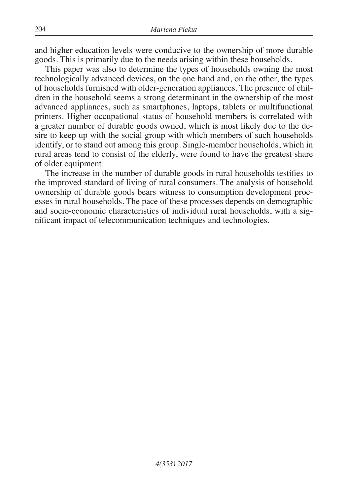and higher education levels were conducive to the ownership of more durable goods. This is primarily due to the needs arising within these households.

This paper was also to determine the types of households owning the most technologically advanced devices, on the one hand and, on the other, the types of households furnished with older-generation appliances. The presence of children in the household seems a strong determinant in the ownership of the most advanced appliances, such as smartphones, laptops, tablets or multifunctional printers. Higher occupational status of household members is correlated with a greater number of durable goods owned, which is most likely due to the desire to keep up with the social group with which members of such households identify, or to stand out among this group. Single-member households, which in rural areas tend to consist of the elderly, were found to have the greatest share of older equipment.

The increase in the number of durable goods in rural households testifies to the improved standard of living of rural consumers. The analysis of household ownership of durable goods bears witness to consumption development processes in rural households. The pace of these processes depends on demographic and socio-economic characteristics of individual rural households, with a significant impact of telecommunication techniques and technologies.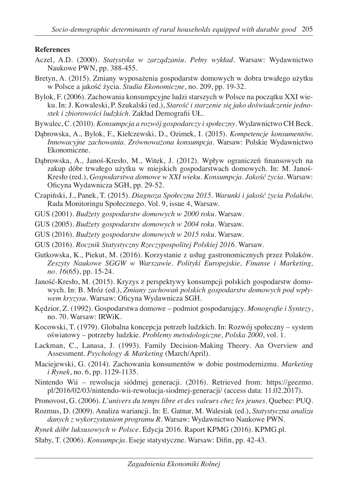#### **References**

- Aczel, A.D. (2000). *Statystyka w zarządzaniu. Pełny wykład*. Warsaw: Wydawnictwo Naukowe PWN, pp. 388-455.
- Bretyn, A. (2015). Zmiany wyposażenia gospodarstw domowych w dobra trwałego użytku w Polsce a jakość życia. *Studia Ekonomiczne*, no. 209, pp. 19-32.
- Bylok, F. (2006). Zachowania konsumpcyjne ludzi starszych w Polsce na początku XXI wieku. In: J. Kowaleski, P. Szukalski (ed.), *Starość i starzenie się jako doświadczenie jednostek i zbiorowości ludzkich*. Zakład Demografii UŁ.
- Bywalec, C. (2010). *Konsumpcja a rozwój gospodarczy i społeczny*. Wydawnictwo CH Beck.
- Dąbrowska, A., Bylok, F., Kiełczewski, D., Ozimek, I. (2015). *Kompetencje konsumentów. Innowacyjne zachowania. Zrównoważona konsumpcja.* Warsaw: Polskie Wydawnictwo Ekonomiczne.
- Dąbrowska, A., Janoś-Kresło, M., Witek, J. (2012). Wpływ ograniczeń finansowych na zakup dóbr trwałego użytku w miejskich gospodarstwach domowych. In: M. Janoś-Kresło (red.), *Gospodarstwa domowe w XXI wieku. Konsumpcja. Jakość życia*. Warsaw: Oficyna Wydawnicza SGH, pp. 29-52.
- Czapiński, J., Panek, T. (2015). *Diagnoza Społeczna 2015. Warunki i jakość życia Polaków.*  Rada Monitoringu Społecznego. Vol. 9, issue 4, Warsaw.
- GUS (2001). *Budżety gospodarstw domowych w 2000 roku*. Warsaw.
- GUS (2005). *Budżety gospodarstw domowych w 2004 roku*. Warsaw.
- GUS (2016). *Budżety gospodarstw domowych w 2015 roku*. Warsaw.
- GUS (2016). *Rocznik Statystyczny Rzeczypospolitej Polskiej 2016*. Warsaw.
- Gutkowska, K., Piekut, M. (2016). Korzystanie z usług gastronomicznych przez Polaków. *Zeszyty Naukowe SGGW w Warszawie. Polityki Europejskie, Finanse i Marketing, no. 16*(65), pp. 15-24.
- Janość-Kresło, M. (2015). Kryzys z perspektywy konsumpcji polskich gospodarstw domowych. In: B. Mróz (ed.), *Zmiany zachowań polskich gospodarstw domowych pod wpływem kryzysu*. Warsaw: Oficyna Wydawnicza SGH.
- Kędzior, Z. (1992). Gospodarstwa domowe podmiot gospodarujący. *Monografie i Syntezy*, no. 70. Warsaw: IRWiK.
- Kocowski, T. (1979). Globalna koncepcja potrzeb ludzkich. In: Rozwój społeczny system oświatowy – potrzeby ludzkie. *Problemy metodologiczne, Polska 2000*, vol. 1.
- Lackman, C., Lanasa, J. (1993). Family Decision-Making Theory. An Overview and Assessment. *Psychology & Marketing* (March/April).
- Maciejewski, G. (2014). Zachowania konsumentów w dobie postmodernizmu. *Marketing i Rynek*, no. 6, pp. 1129-1135.
- Nintendo Wii rewolucja siódmej generacji. (2016). Retrieved from: https://geezmo. pl/2016/02/03/nintendo-wii-rewolucja-siodmej-generacji/ (access data: 11.02.2017).
- Pronovost, G. (2006). *L'univers du temps libre et des valeurs chez les jeunes*. Quebec: PUQ.
- Rozmus, D. (2009). Analiza wariancji. In: E. Gatnar, M. Walesiak (ed.), *Statystyczna analiza danych z wykorzystaniem programu R*. Warsaw: Wydawnictwo Naukowe PWN.
- *Rynek dóbr luksusowych w Polsce.* Edycja 2016. Raport KPMG (2016). KPMG.pl.
- Słaby, T. (2006). *Konsumpcja*. Eseje statystyczne. Warsaw: Difin, pp. 42-43.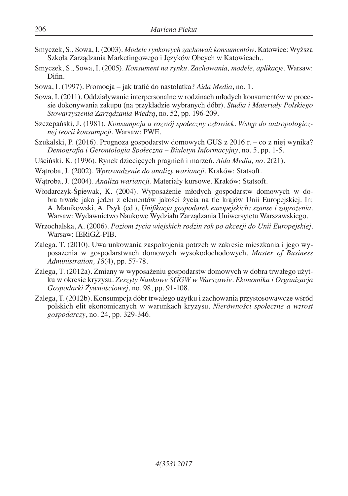- Smyczek, S., Sowa, I. (2003). *Modele rynkowych zachowań konsumentów*. Katowice: Wyższa Szkoła Zarządzania Marketingowego i Języków Obcych w Katowicach,.
- Smyczek, S., Sowa, I. (2005). *Konsument na rynku. Zachowania, modele, aplikacje.* Warsaw: Difin.
- Sowa, I. (1997). Promocja jak trafić do nastolatka? *Aida Media*, no. 1.
- Sowa, I. (2011). Oddziaływanie interpersonalne w rodzinach młodych konsumentów w procesie dokonywania zakupu (na przykładzie wybranych dóbr). *Studia i Materiały Polskiego Stowarzyszenia Zarządzania Wiedzą*, no. 52, pp. 196-209.
- Szczepański, J. (1981). *Konsumpcja a rozwój społeczny człowiek. Wstęp do antropologicznej teorii konsumpcji.* Warsaw: PWE.
- Szukalski, P. (2016). Prognoza gospodarstw domowych GUS z 2016 r. co z niej wynika? *Demografia i Gerontologia Społeczna – Biuletyn Informacyjny*, no. 5, pp. 1-5.
- Uściński, K. (1996). Rynek dziecięcych pragnień i marzeń. *Aida Media, no. 2*(21).
- Wątroba, J. (2002). *Wprowadzenie do analizy wariancji*. Kraków: Statsoft.
- Wątroba, J. (2004). *Analiza wariancji*. Materiały kursowe. Kraków: Statsoft.
- Włodarczyk-Śpiewak, K. (2004). Wyposażenie młodych gospodarstw domowych w dobra trwałe jako jeden z elementów jakości życia na tle krajów Unii Europejskiej. In: A. Manikowski, A. Psyk (ed.), *Unifikacja gospodarek europejskich: szanse i zagrożenia*. Warsaw: Wydawnictwo Naukowe Wydziału Zarządzania Uniwersytetu Warszawskiego.
- Wrzochalska, A. (2006). *Poziom życia wiejskich rodzin rok po akcesji do Unii Europejskiej*. Warsaw: IERiGŻ-PIB.
- Zalega, T. (2010). Uwarunkowania zaspokojenia potrzeb w zakresie mieszkania i jego wyposażenia w gospodarstwach domowych wysokodochodowych. *Master of Business Administration, 18*(4), pp. 57-78.
- Zalega, T. (2012a). Zmiany w wyposażeniu gospodarstw domowych w dobra trwałego użytku w okresie kryzysu. *Zeszyty Naukowe SGGW w Warszawie. Ekonomika i Organizacja Gospodarki Żywnościowej*, no. 98, pp. 91-108.
- Zalega, T. (2012b). Konsumpcja dóbr trwałego użytku i zachowania przystosowawcze wśród polskich elit ekonomicznych w warunkach kryzysu. *Nierówności społeczne a wzrost gospodarczy*, no. 24, pp. 329-346.